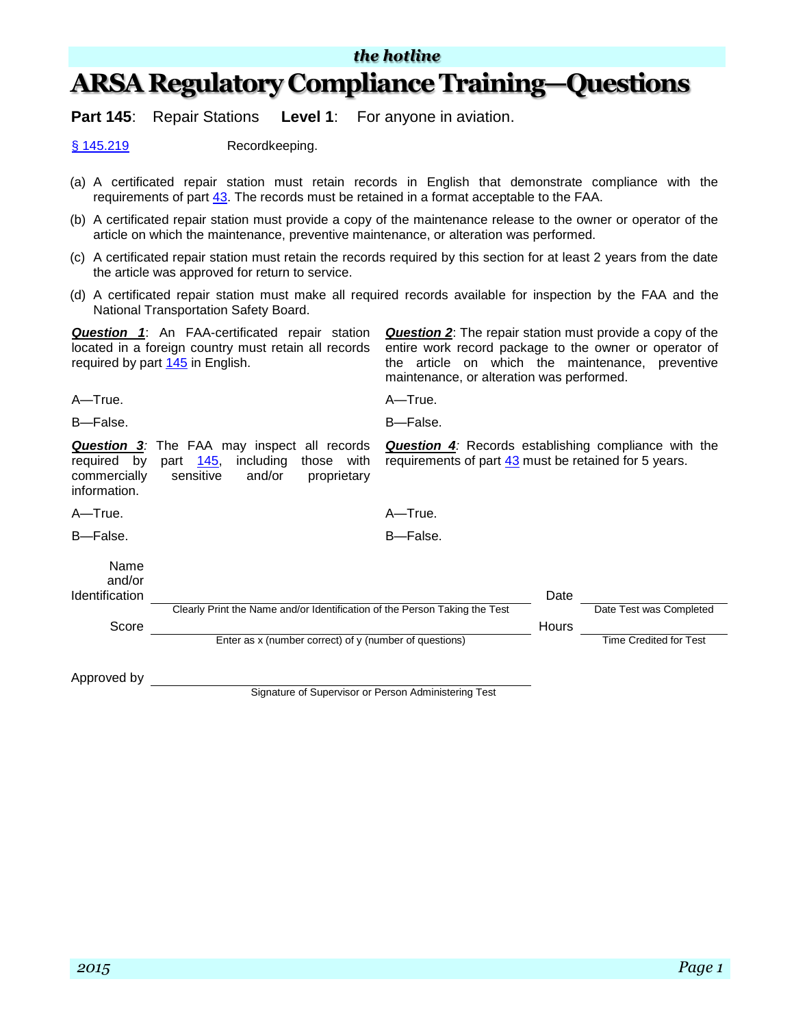### *the hotline*

## **ARSA Regulatory Compliance Training—Questions**

**Part 145**: Repair Stations **Level 1**: For anyone in aviation.

[§ 145.219](http://www.ecfr.gov/cgi-bin/text-idx?SID=e31d4b67c295ede3cd1e00a881381dcb&mc=true&node=se14.3.145_1219&rgn=div8) Recordkeeping.

- (a) A certificated repair station must retain records in English that demonstrate compliance with the requirements of part [43.](http://www.ecfr.gov/cgi-bin/text-idx?SID=caae65df0f3533bc0cf8bf7c7e8be908&mc=true&tpl=/ecfrbrowse/Title14/14cfr43_main_02.tpl) The records must be retained in a format acceptable to the FAA.
- (b) A certificated repair station must provide a copy of the maintenance release to the owner or operator of the article on which the maintenance, preventive maintenance, or alteration was performed.
- (c) A certificated repair station must retain the records required by this section for at least 2 years from the date the article was approved for return to service.
- (d) A certificated repair station must make all required records available for inspection by the FAA and the National Transportation Safety Board.

*Question 1*: An FAA-certificated repair station located in a foreign country must retain all records required by part [145](http://www.ecfr.gov/cgi-bin/text-idx?SID=caae65df0f3533bc0cf8bf7c7e8be908&mc=true&tpl=/ecfrbrowse/Title14/14cfr145_main_02.tpl) in English. *Question 2*: The repair station must provide a copy of the entire work record package to the owner or operator of the article on which the maintenance, preventive maintenance, or alteration was performed.

A—True. A—True.

B—False. B—False.

*Question 3:* The FAA may inspect all records required by part [145,](http://www.ecfr.gov/cgi-bin/text-idx?SID=caae65df0f3533bc0cf8bf7c7e8be908&mc=true&tpl=/ecfrbrowse/Title14/14cfr145_main_02.tpl) including those with commercially sensitive and/or proprietary information.

**Question 4***:* Records establishing compliance with the requirements of part [43](http://www.ecfr.gov/cgi-bin/text-idx?SID=caae65df0f3533bc0cf8bf7c7e8be908&mc=true&tpl=/ecfrbrowse/Title14/14cfr43_main_02.tpl) must be retained for 5 years.

A—True. A—True.

B—False. B—False.

Name and/or **Identification** Date **Date 2010 Date 2010 Date 2010 Date 2010 Date 2010 Date** Clearly Print the Name and/or Identification of the Person Taking the Test Test Test Was Completed Score **Hours** Enter as x (number correct) of y (number of questions) Time Credited for Test

Approved by

Signature of Supervisor or Person Administering Test